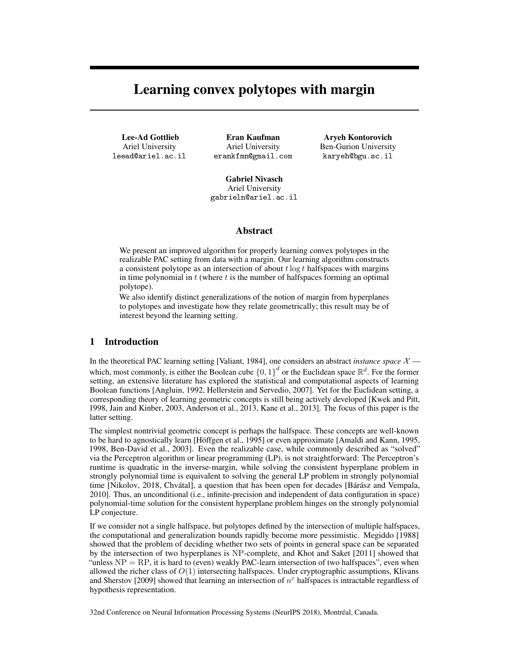# Learning convex polytopes with margin

Lee-Ad Gottlieb Ariel University leead@ariel.ac.il

Eran Kaufman Ariel University erankfmn@gmail.com

Aryeh Kontorovich Ben-Gurion University karyeh@bgu.sc.il

Gabriel Nivasch Ariel University gabrieln@ariel.ac.il

## Abstract

We present an improved algorithm for properly learning convex polytopes in the realizable PAC setting from data with a margin. Our learning algorithm constructs a consistent polytope as an intersection of about  $t \log t$  halfspaces with margins in time polynomial in  $t$  (where  $t$  is the number of halfspaces forming an optimal polytope).

We also identify distinct generalizations of the notion of margin from hyperplanes to polytopes and investigate how they relate geometrically; this result may be of interest beyond the learning setting.

## 1 Introduction

In the theoretical PAC learning setting [Valiant, 1984], one considers an abstract *instance space*  $\mathcal{X}$  which, most commonly, is either the Boolean cube  $\{0,1\}^d$  or the Euclidean space  $\mathbb{R}^d$ . For the former setting, an extensive literature has explored the statistical and computational aspects of learning Boolean functions [Angluin, 1992, Hellerstein and Servedio, 2007]. Yet for the Euclidean setting, a corresponding theory of learning geometric concepts is still being actively developed [Kwek and Pitt, 1998, Jain and Kinber, 2003, Anderson et al., 2013, Kane et al., 2013]. The focus of this paper is the latter setting.

The simplest nontrivial geometric concept is perhaps the halfspace. These concepts are well-known to be hard to agnostically learn [Höffgen et al., 1995] or even approximate [Amaldi and Kann, 1995, 1998, Ben-David et al., 2003]. Even the realizable case, while commonly described as "solved" via the Perceptron algorithm or linear programming (LP), is not straightforward: The Perceptron's runtime is quadratic in the inverse-margin, while solving the consistent hyperplane problem in strongly polynomial time is equivalent to solving the general LP problem in strongly polynomial time [Nikolov, 2018, Chvátal], a question that has been open for decades [Bárász and Vempala, 2010]. Thus, an unconditional (i.e., infinite-precision and independent of data configuration in space) polynomial-time solution for the consistent hyperplane problem hinges on the strongly polynomial LP conjecture.

If we consider not a single halfspace, but polytopes defined by the intersection of multiple halfspaces, the computational and generalization bounds rapidly become more pessimistic. Megiddo [1988] showed that the problem of deciding whether two sets of points in general space can be separated by the intersection of two hyperplanes is NP-complete, and Khot and Saket [2011] showed that "unless  $NP = RP$ , it is hard to (even) weakly PAC-learn intersection of two halfspaces", even when allowed the richer class of  $O(1)$  intersecting halfspaces. Under cryptographic assumptions, Klivans and Sherstov [2009] showed that learning an intersection of  $n^{\epsilon}$  halfspaces is intractable regardless of hypothesis representation.

32nd Conference on Neural Information Processing Systems (NeurIPS 2018), Montréal, Canada.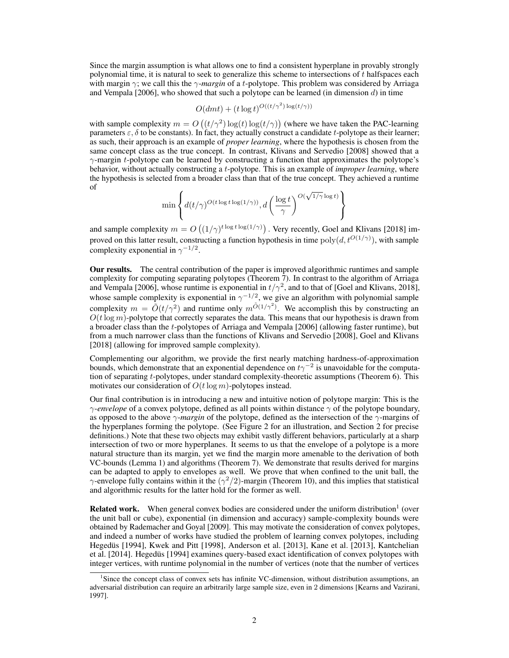Since the margin assumption is what allows one to find a consistent hyperplane in provably strongly polynomial time, it is natural to seek to generalize this scheme to intersections of  $t$  halfspaces each with margin γ; we call this the γ-*margin* of a t-polytope. This problem was considered by Arriaga and Vempala  $[2006]$ , who showed that such a polytope can be learned (in dimension d) in time

$$
O(dmt) + (t \log t)^{O((t/\gamma^2) \log(t/\gamma))}
$$

with sample complexity  $m = O((t/\gamma^2) \log(t) \log(t/\gamma))$  (where we have taken the PAC-learning parameters  $\varepsilon$ ,  $\delta$  to be constants). In fact, they actually construct a candidate t-polytope as their learner; as such, their approach is an example of *proper learning*, where the hypothesis is chosen from the same concept class as the true concept. In contrast, Klivans and Servedio [2008] showed that a  $\gamma$ -margin t-polytope can be learned by constructing a function that approximates the polytope's behavior, without actually constructing a t-polytope. This is an example of *improper learning*, where the hypothesis is selected from a broader class than that of the true concept. They achieved a runtime of √

$$
\min \left\{ d(t/\gamma)^{O(t\log t\log(1/\gamma))}, d\left(\frac{\log t}{\gamma}\right)^{O(\sqrt{1/\gamma}\log t)} \right\}
$$

and sample complexity  $m = O((1/\gamma)^{t \log t \log(1/\gamma)})$  . Very recently, Goel and Klivans [2018] improved on this latter result, constructing a function hypothesis in time  $poly(d, t^{O(1/\gamma)})$ , with sample complexity exponential in  $\gamma^{-1/2}$ .

Our results. The central contribution of the paper is improved algorithmic runtimes and sample complexity for computing separating polytopes (Theorem 7). In contrast to the algorithm of Arriaga and Vempala [2006], whose runtime is exponential in  $t/\gamma^2$ , and to that of [Goel and Klivans, 2018], whose sample complexity is exponential in  $\gamma^{-1/2}$ , we give an algorithm with polynomial sample complexity  $m = \tilde{O}(t/\gamma^2)$  and runtime only  $m^{\tilde{O}(1/\gamma^2)}$ . We accomplish this by constructing an  $O(t \log m)$ -polytope that correctly separates the data. This means that our hypothesis is drawn from a broader class than the t-polytopes of Arriaga and Vempala [2006] (allowing faster runtime), but from a much narrower class than the functions of Klivans and Servedio [2008], Goel and Klivans [2018] (allowing for improved sample complexity).

Complementing our algorithm, we provide the first nearly matching hardness-of-approximation bounds, which demonstrate that an exponential dependence on  $t\gamma^{-2}$  is unavoidable for the computation of separating  $t$ -polytopes, under standard complexity-theoretic assumptions (Theorem 6). This motivates our consideration of  $O(t \log m)$ -polytopes instead.

Our final contribution is in introducing a new and intuitive notion of polytope margin: This is the  $\gamma$ -envelope of a convex polytope, defined as all points within distance  $\gamma$  of the polytope boundary, as opposed to the above γ-*margin* of the polytope, defined as the intersection of the γ-margins of the hyperplanes forming the polytope. (See Figure 2 for an illustration, and Section 2 for precise definitions.) Note that these two objects may exhibit vastly different behaviors, particularly at a sharp intersection of two or more hyperplanes. It seems to us that the envelope of a polytope is a more natural structure than its margin, yet we find the margin more amenable to the derivation of both VC-bounds (Lemma 1) and algorithms (Theorem 7). We demonstrate that results derived for margins can be adapted to apply to envelopes as well. We prove that when confined to the unit ball, the  $\gamma$ -envelope fully contains within it the  $(\gamma^2/2)$ -margin (Theorem 10), and this implies that statistical and algorithmic results for the latter hold for the former as well.

**Related work.** When general convex bodies are considered under the uniform distribution<sup>1</sup> (over the unit ball or cube), exponential (in dimension and accuracy) sample-complexity bounds were obtained by Rademacher and Goyal [2009]. This may motivate the consideration of convex polytopes, and indeed a number of works have studied the problem of learning convex polytopes, including Hegedüs [1994], Kwek and Pitt [1998], Anderson et al. [2013], Kane et al. [2013], Kantchelian et al. [2014]. Hegedüs [1994] examines query-based exact identification of convex polytopes with integer vertices, with runtime polynomial in the number of vertices (note that the number of vertices

<sup>&</sup>lt;sup>1</sup>Since the concept class of convex sets has infinite VC-dimension, without distribution assumptions, an adversarial distribution can require an arbitrarily large sample size, even in 2 dimensions [Kearns and Vazirani, 1997].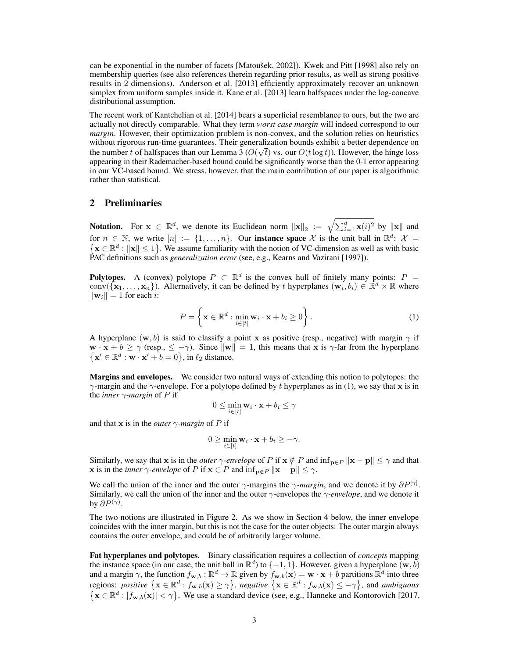can be exponential in the number of facets [Matoušek, 2002]). Kwek and Pitt [1998] also rely on membership queries (see also references therein regarding prior results, as well as strong positive results in 2 dimensions). Anderson et al. [2013] efficiently approximately recover an unknown simplex from uniform samples inside it. Kane et al. [2013] learn halfspaces under the log-concave distributional assumption.

The recent work of Kantchelian et al. [2014] bears a superficial resemblance to ours, but the two are actually not directly comparable. What they term *worst case margin* will indeed correspond to our *margin*. However, their optimization problem is non-convex, and the solution relies on heuristics without rigorous run-time guarantees. Their generalization bounds exhibit a better dependence on the number t of halfspaces than our Lemma 3 ( $O(\sqrt{t})$  vs. our  $O(t \log t)$ ). However, the hinge loss appearing in their Rademacher-based bound could be significantly worse than the 0-1 error appearing in our VC-based bound. We stress, however, that the main contribution of our paper is algorithmic rather than statistical.

## 2 Preliminaries

Notation. For  $x \in \mathbb{R}^d$ , we denote its Euclidean norm  $||x||_2 := \sqrt{\sum_{i=1}^d x(i)^2}$  by  $||x||$  and for  $n \in \mathbb{N}$ , we write  $[n] := \{1, \ldots, n\}$ . Our **instance space** X is the unit ball in  $\mathbb{R}^d$ :  $\mathcal{X} =$  $\{x \in \mathbb{R}^d : ||x|| \le 1\}$ . We assume familiarity with the notion of VC-dimension as well as with basic PAC definitions such as *generalization error* (see, e.g., Kearns and Vazirani [1997]).

**Polytopes.** A (convex) polytope  $P \subset \mathbb{R}^d$  is the convex hull of finitely many points:  $P =$ conv $(\{x_1,\ldots,x_n\})$ . Alternatively, it can be defined by t hyperplanes  $(w_i,b_i) \in \mathbb{R}^d \times \mathbb{R}$  where  $\|\mathbf{w}_i\| = 1$  for each *i*:

$$
P = \left\{ \mathbf{x} \in \mathbb{R}^d : \min_{i \in [t]} \mathbf{w}_i \cdot \mathbf{x} + b_i \ge 0 \right\}.
$$
 (1)

A hyperplane  $(w, b)$  is said to classify a point x as positive (resp., negative) with margin  $\gamma$  if  $\mathbf{w} \cdot \mathbf{x} + b \ge \gamma$  (resp.,  $\le -\gamma$ ). Since  $\|\mathbf{w}\| = 1$ , this means that x is  $\gamma$ -far from the hyperplane  $\{ \mathbf{x}' \in \mathbb{R}^d : \mathbf{w} \cdot \mathbf{x}' + b = 0 \}, \text{ in } \ell_2 \text{ distance.}$ 

Margins and envelopes. We consider two natural ways of extending this notion to polytopes: the  $\gamma$ -margin and the  $\gamma$ -envelope. For a polytope defined by t hyperplanes as in (1), we say that x is in the *inner* γ*-margin* of P if

$$
0 \le \min_{i \in [t]} \mathbf{w}_i \cdot \mathbf{x} + b_i \le \gamma
$$

and that x is in the *outer*  $\gamma$ *-margin* of P if

$$
0 \geq \min_{i \in [t]} \mathbf{w}_i \cdot \mathbf{x} + b_i \geq -\gamma.
$$

Similarly, we say that x is in the *outer*  $\gamma$ -envelope of P if  $x \notin P$  and  $\inf_{p \in P} ||x - p|| \leq \gamma$  and that **x** is in the *inner*  $\gamma$ *-envelope* of P if  $\mathbf{x} \in P$  and  $\inf_{\mathbf{p} \notin P} \|\mathbf{x} - \mathbf{p}\| \leq \gamma$ .

We call the union of the inner and the outer  $\gamma$ -margins the  $\gamma$ -margin, and we denote it by  $\partial P^{[\gamma]}$ . Similarly, we call the union of the inner and the outer γ-envelopes the γ*-envelope*, and we denote it by  $\partial P^{(\gamma)}.$ 

The two notions are illustrated in Figure 2. As we show in Section 4 below, the inner envelope coincides with the inner margin, but this is not the case for the outer objects: The outer margin always contains the outer envelope, and could be of arbitrarily larger volume.

Fat hyperplanes and polytopes. Binary classification requires a collection of *concepts* mapping the instance space (in our case, the unit ball in  $\mathbb{R}^d$ ) to  $\{-1, 1\}$ . However, given a hyperplane  $(\mathbf{w}, \vec{b})$ and a margin  $\gamma$ , the function  $f_{\mathbf{w},b} : \mathbb{R}^d \to \mathbb{R}$  given by  $f_{\mathbf{w},b}(\mathbf{x}) = \mathbf{w} \cdot \mathbf{x} + b$  partitions  $\mathbb{R}^d$  into three regions: *positive*  $\{ \mathbf{x} \in \mathbb{R}^d : f_{\mathbf{w},b}(\mathbf{x}) \ge \gamma \}$ , *negative*  $\{ \mathbf{x} \in \mathbb{R}^d : f_{\mathbf{w},b}(\mathbf{x}) \le -\gamma \}$ , and *ambiguous*  $\{ \mathbf{x} \in \mathbb{R}^d : |f_{\mathbf{w},b}(\mathbf{x})| < \gamma \}.$  We use a standard device (see, e.g., Hanneke and Kontorovich [2017,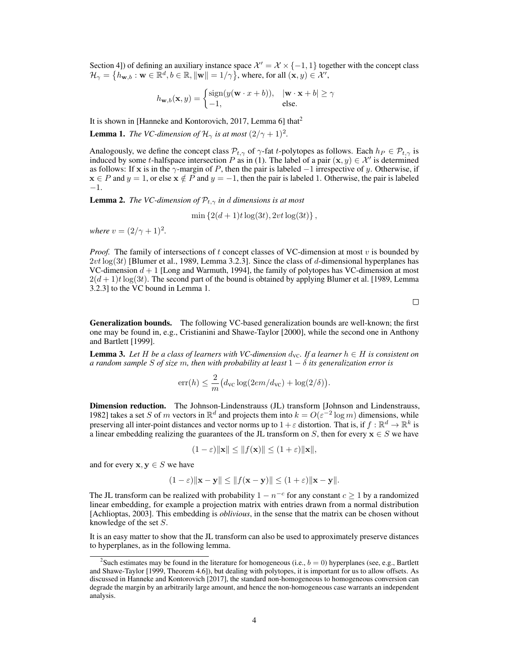Section 4]) of defining an auxiliary instance space  $\mathcal{X}' = \mathcal{X} \times \{-1, 1\}$  together with the concept class  $\mathcal{H}_{\gamma} = \left\{ h_{\mathbf{w},b} : \mathbf{w} \in \mathbb{R}^d, b \in \mathbb{R}, \|\mathbf{w}\| = 1/\gamma \right\}$ , where, for all  $(\mathbf{x}, y) \in \mathcal{X}^{\gamma}$ ,

$$
h_{\mathbf{w},b}(\mathbf{x},y) = \begin{cases} \text{sign}(y(\mathbf{w}\cdot x + b)), & |\mathbf{w}\cdot\mathbf{x} + b| \ge \gamma \\ -1, & \text{else.} \end{cases}
$$

It is shown in [Hanneke and Kontorovich, 2017, Lemma 6] that<sup>2</sup>

**Lemma 1.** *The VC-dimension of*  $\mathcal{H}_{\gamma}$  *is at most*  $(2/\gamma + 1)^2$ *.* 

Analogously, we define the concept class  $P_{t,\gamma}$  of  $\gamma$ -fat t-polytopes as follows. Each  $h_P \in \mathcal{P}_{t,\gamma}$  is induced by some t-halfspace intersection P as in (1). The label of a pair  $(x, y) \in \mathcal{X}'$  is determined as follows: If x is in the  $\gamma$ -margin of P, then the pair is labeled  $-1$  irrespective of y. Otherwise, if  $x \in P$  and  $y = 1$ , or else  $x \notin P$  and  $y = -1$ , then the pair is labeled 1. Otherwise, the pair is labeled −1.

**Lemma 2.** *The VC-dimension of*  $\mathcal{P}_{t,\gamma}$  *in d dimensions is at most* 

$$
\min\left\{2(d+1)t\log(3t), 2vt\log(3t)\right\},\
$$

*where*  $v = (2/\gamma + 1)^2$ .

*Proof.* The family of intersections of t concept classes of VC-dimension at most  $v$  is bounded by  $2vt \log(3t)$  [Blumer et al., 1989, Lemma 3.2.3]. Since the class of d-dimensional hyperplanes has VC-dimension  $d + 1$  [Long and Warmuth, 1994], the family of polytopes has VC-dimension at most  $2(d+1)t\log(3t)$ . The second part of the bound is obtained by applying Blumer et al. [1989, Lemma 3.2.3] to the VC bound in Lemma 1.

 $\Box$ 

Generalization bounds. The following VC-based generalization bounds are well-known; the first one may be found in, e.g., Cristianini and Shawe-Taylor [2000], while the second one in Anthony and Bartlett [1999].

**Lemma 3.** Let H be a class of learners with VC-dimension  $d_{\text{VC}}$ . If a learner  $h \in H$  is consistent on *a random sample* S *of size* m, then with probability at least  $1 - \delta$  its generalization error is

$$
err(h) \le \frac{2}{m} (d_{\rm VC} \log(2em/d_{\rm VC}) + \log(2/\delta)).
$$

Dimension reduction. The Johnson-Lindenstrauss (JL) transform [Johnson and Lindenstrauss, 1982] takes a set S of m vectors in  $\mathbb{R}^d$  and projects them into  $k = O(\varepsilon^{-2} \log m)$  dimensions, while preserving all inter-point distances and vector norms up to  $1+\varepsilon$  distortion. That is, if  $f : \mathbb{R}^d \to \mathbb{R}^k$  is a linear embedding realizing the guarantees of the JL transform on S, then for every  $x \in S$  we have

$$
(1 - \varepsilon) \|\mathbf{x}\| \le \|f(\mathbf{x})\| \le (1 + \varepsilon) \|\mathbf{x}\|,
$$

and for every  $x, y \in S$  we have

$$
(1 - \varepsilon) \|\mathbf{x} - \mathbf{y}\| \le \|f(\mathbf{x} - \mathbf{y})\| \le (1 + \varepsilon) \|\mathbf{x} - \mathbf{y}\|.
$$

The JL transform can be realized with probability  $1 - n^{-c}$  for any constant  $c \ge 1$  by a randomized linear embedding, for example a projection matrix with entries drawn from a normal distribution [Achlioptas, 2003]. This embedding is *oblivious*, in the sense that the matrix can be chosen without knowledge of the set S.

It is an easy matter to show that the JL transform can also be used to approximately preserve distances to hyperplanes, as in the following lemma.

<sup>&</sup>lt;sup>2</sup>Such estimates may be found in the literature for homogeneous (i.e.,  $b = 0$ ) hyperplanes (see, e.g., Bartlett and Shawe-Taylor [1999, Theorem 4.6]), but dealing with polytopes, it is important for us to allow offsets. As discussed in Hanneke and Kontorovich [2017], the standard non-homogeneous to homogeneous conversion can degrade the margin by an arbitrarily large amount, and hence the non-homogeneous case warrants an independent analysis.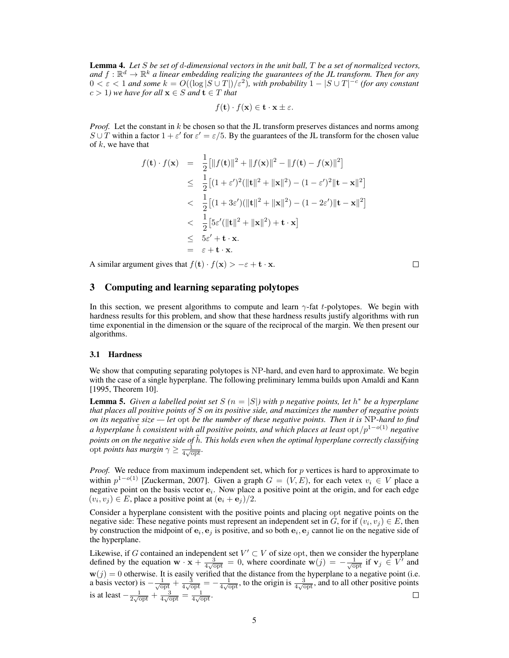Lemma 4. *Let* S *be set of* d*-dimensional vectors in the unit ball,* T *be a set of normalized vectors,* and  $f: \mathbb{R}^d \to \mathbb{R}^k$  a linear embedding realizing the guarantees of the JL transform. Then for any  $0 < \varepsilon < 1$  and some  $k = O((\log |S \cup T|)/\varepsilon^2)$ , with probability  $1 - |S \cup T|^{-c}$  (for any constant  $c > 1$ *) we have for all*  $\mathbf{x} \in S$  *and*  $\mathbf{t} \in T$  *that* 

$$
f(\mathbf{t}) \cdot f(\mathbf{x}) \in \mathbf{t} \cdot \mathbf{x} \pm \varepsilon.
$$

*Proof.* Let the constant in k be chosen so that the JL transform preserves distances and norms among  $S \cup T$  within a factor  $1 + \varepsilon'$  for  $\varepsilon' = \varepsilon/5$ . By the guarantees of the JL transform for the chosen value of  $k$ , we have that

$$
f(\mathbf{t}) \cdot f(\mathbf{x}) = \frac{1}{2} [\|f(\mathbf{t})\|^2 + \|f(\mathbf{x})\|^2 - \|f(\mathbf{t}) - f(\mathbf{x})\|^2]
$$
  
\n
$$
\leq \frac{1}{2} [(1 + \varepsilon')^2 (\|\mathbf{t}\|^2 + \|\mathbf{x}\|^2) - (1 - \varepsilon')^2 \|\mathbf{t} - \mathbf{x}\|^2]
$$
  
\n
$$
< \frac{1}{2} [(1 + 3\varepsilon') (\|\mathbf{t}\|^2 + \|\mathbf{x}\|^2) - (1 - 2\varepsilon') \|\mathbf{t} - \mathbf{x}\|^2]
$$
  
\n
$$
< \frac{1}{2} [5\varepsilon' (\|\mathbf{t}\|^2 + \|\mathbf{x}\|^2) + \mathbf{t} \cdot \mathbf{x}]
$$
  
\n
$$
\leq 5\varepsilon' + \mathbf{t} \cdot \mathbf{x}.
$$
  
\n
$$
= \varepsilon + \mathbf{t} \cdot \mathbf{x}.
$$

A similar argument gives that  $f(\mathbf{t}) \cdot f(\mathbf{x}) > -\varepsilon + \mathbf{t} \cdot \mathbf{x}$ .

$$
\Box
$$

# 3 Computing and learning separating polytopes

In this section, we present algorithms to compute and learn  $\gamma$ -fat t-polytopes. We begin with hardness results for this problem, and show that these hardness results justify algorithms with run time exponential in the dimension or the square of the reciprocal of the margin. We then present our algorithms.

#### 3.1 Hardness

We show that computing separating polytopes is NP-hard, and even hard to approximate. We begin with the case of a single hyperplane. The following preliminary lemma builds upon Amaldi and Kann [1995, Theorem 10].

**Lemma 5.** *Given a labelled point set*  $S(n = |S|)$  *with*  $p$  *negative points, let*  $h^*$  *be a hyperplane that places all positive points of* S *on its positive side, and maximizes the number of negative points on its negative size — let* opt *be the number of these negative points. Then it is* NP*-hard to find a hyperplane*  $\tilde{h}$  *consistent with all positive points, and which places at least* opt/p<sup>1−o(1)</sup> *negative points on on the negative side of h*<sup>2</sup>*. This holds even when the optimal hyperplane correctly classifying* opt *points has margin*  $\gamma \ge \frac{1}{4\sqrt{\mathrm{opt}}}.$ 

*Proof.* We reduce from maximum independent set, which for p vertices is hard to approximate to within  $p^{1-o(1)}$  [Zuckerman, 2007]. Given a graph  $G = (V, E)$ , for each vetex  $v_i \in V$  place a negative point on the basis vector  $e_i$ . Now place a positive point at the origin, and for each edge  $(v_i, v_j) \in E$ , place a positive point at  $(\mathbf{e}_i + \mathbf{e}_j)/2$ .

Consider a hyperplane consistent with the positive points and placing opt negative points on the negative side: These negative points must represent an independent set in G, for if  $(v_i, v_j) \in E$ , then by construction the midpoint of  $e_i, e_j$  is positive, and so both  $e_i, e_j$  cannot lie on the negative side of the hyperplane.

Likewise, if G contained an independent set  $V' \subset V$  of size opt, then we consider the hyperplane defined by the equation  $\mathbf{w} \cdot \mathbf{x} + \frac{3}{4\sqrt{\text{opt}}} = 0$ , where coordinate  $\mathbf{w}(j) = -\frac{1}{\sqrt{\text{opt}}}$  if  $\mathbf{v}_j \in V^j$  and  $\mathbf{w}(j) = 0$  otherwise. It is easily verified that the distance from the hyperplane to a negative point (i.e. a basis vector) is  $-\frac{1}{\sqrt{\text{opt}}}+\frac{3}{4\sqrt{\text{opt}}}=-\frac{1}{4\sqrt{\text{opt}}}$ , to the origin is  $\frac{3}{4\sqrt{\text{opt}}}$ , and to all other positive points is at least  $-\frac{1}{2\sqrt{\text{opt}}} + \frac{3}{4\sqrt{\text{opt}}} = \frac{1}{4\sqrt{\text{opt}}}$ .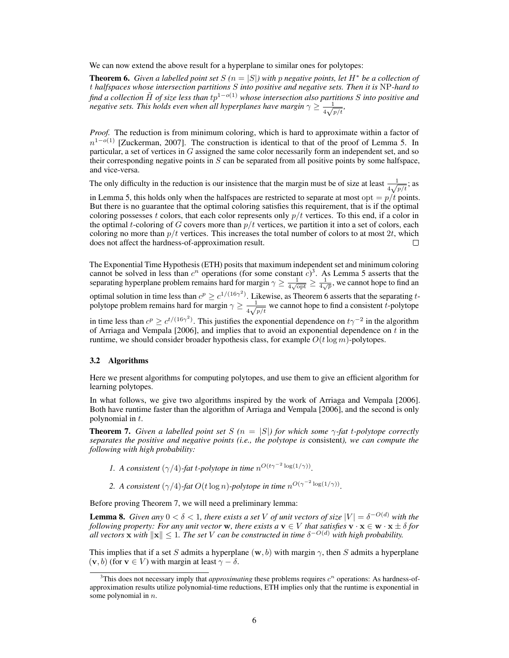We can now extend the above result for a hyperplane to similar ones for polytopes:

**Theorem 6.** *Given a labelled point set*  $S(n = |S|)$  *with* p *negative points, let*  $H^*$  *be a collection of* t *halfspaces whose intersection partitions* S *into positive and negative sets. Then it is* NP*-hard to find a collection* H˜ *of size less than* tp1−o(1) *whose intersection also partitions* S *into positive and negative sets. This holds even when all hyperplanes have margin*  $\gamma \geq \frac{1}{\sqrt{2}}$  $\frac{1}{4\sqrt{p/t}},$ 

*Proof.* The reduction is from minimum coloring, which is hard to approximate within a factor of  $n^{1-o(1)}$  [Zuckerman, 2007]. The construction is identical to that of the proof of Lemma 5. In particular, a set of vertices in G assigned the same color necessarily form an independent set, and so their corresponding negative points in  $S$  can be separated from all positive points by some halfspace, and vice-versa.

The only difficulty in the reduction is our insistence that the margin must be of size at least  $\frac{1}{4\sqrt{p/t}}$ ; as

in Lemma 5, this holds only when the halfspaces are restricted to separate at most opt  $= p/t$  points. But there is no guarantee that the optimal coloring satisfies this requirement, that is if the optimal coloring possesses t colors, that each color represents only  $p/t$  vertices. To this end, if a color in the optimal t-coloring of G covers more than  $p/t$  vertices, we partition it into a set of colors, each coloring no more than  $p/t$  vertices. This increases the total number of colors to at most  $2t$ , which does not affect the hardness-of-approximation result.  $\Box$ 

The Exponential Time Hypothesis (ETH) posits that maximum independent set and minimum coloring cannot be solved in less than  $c^n$  operations (for some constant  $c^3$ ). As Lemma 5 asserts that the separating hyperplane problem remains hard for margin  $\gamma \ge \frac{1}{4\sqrt{\rho p t}} \ge \frac{1}{4\sqrt{\rho}}$ , we cannot hope to find an

optimal solution in time less than  $c^p \geq c^{1/(16\gamma^2)}$ . Likewise, as Theorem 6 asserts that the separating tpolytope problem remains hard for margin  $\gamma \geq \frac{1}{\sqrt{2}}$  $\frac{1}{4\sqrt{p/t}}$  we cannot hope to find a consistent t-polytope

in time less than  $c^p \geq c^{t/(16\gamma^2)}$ . This justifies the exponential dependence on  $t\gamma^{-2}$  in the algorithm of Arriaga and Vempala [2006], and implies that to avoid an exponential dependence on  $t$  in the runtime, we should consider broader hypothesis class, for example  $O(t \log m)$ -polytopes.

#### 3.2 Algorithms

Here we present algorithms for computing polytopes, and use them to give an efficient algorithm for learning polytopes.

In what follows, we give two algorithms inspired by the work of Arriaga and Vempala [2006]. Both have runtime faster than the algorithm of Arriaga and Vempala [2006], and the second is only polynomial in t.

**Theorem 7.** *Given a labelled point set*  $S(n = |S|)$  *for which some*  $\gamma$ *-fat t-polytope correctly separates the positive and negative points (i.e., the polytope is* consistent*), we can compute the following with high probability:*

*1.* A consistent  $(\gamma/4)$ -fat t-polytope in time  $n^{O(t\gamma^{-2} \log(1/\gamma))}$ .

2. A consistent  $(\gamma/4)$ -fat  $O(t \log n)$ -polytope in time  $n^{O(\gamma^{-2} \log(1/\gamma))}$ .

Before proving Theorem 7, we will need a preliminary lemma:

**Lemma 8.** *Given any*  $0 < \delta < 1$ , there exists a set V of unit vectors of size  $|V| = \delta^{-O(d)}$  with the *following property: For any unit vector* w, there exists  $a \mathbf{v} \in V$  that satisfies  $\mathbf{v} \cdot \mathbf{x} \in \mathbf{w} \cdot \mathbf{x} \pm \delta$  for all vectors **x** with  $\|\mathbf{x}\| \leq 1$ . The set V can be constructed in time  $\delta^{-O(d)}$  with high probability.

This implies that if a set S admits a hyperplane (w, b) with margin  $\gamma$ , then S admits a hyperplane  $(v, b)$  (for  $v \in V$ ) with margin at least  $\gamma - \delta$ .

 $3$ This does not necessary imply that *approximating* these problems requires  $c^n$  operations: As hardness-ofapproximation results utilize polynomial-time reductions, ETH implies only that the runtime is exponential in some polynomial in  $n$ .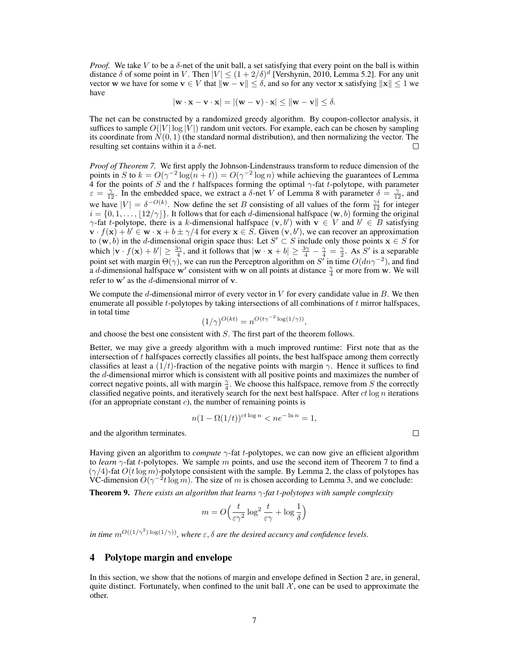*Proof.* We take V to be a  $\delta$ -net of the unit ball, a set satisfying that every point on the ball is within distance  $\delta$  of some point in V. Then  $|V| \le (1 + 2/\delta)^d$  [Vershynin, 2010, Lemma 5.2]. For any unit vector w we have for some  $v \in V$  that  $\|w - v\| \le \delta$ , and so for any vector x satisfying  $\|x\| \le 1$  we have

$$
|\mathbf{w} \cdot \mathbf{x} - \mathbf{v} \cdot \mathbf{x}| = |(\mathbf{w} - \mathbf{v}) \cdot \mathbf{x}| \le ||\mathbf{w} - \mathbf{v}|| \le \delta.
$$

The net can be constructed by a randomized greedy algorithm. By coupon-collector analysis, it suffices to sample  $O(|V| \log |V|)$  random unit vectors. For example, each can be chosen by sampling its coordinate from  $N(0, 1)$  (the standard normal distribution), and then normalizing the vector. The resulting set contains within it a  $\delta$ -net. □

*Proof of Theorem 7.* We first apply the Johnson-Lindenstrauss transform to reduce dimension of the points in S to  $k = O(\gamma^{-2} \log(n + t)) = O(\gamma^{-2} \log n)$  while achieving the guarantees of Lemma 4 for the points of S and the t halfspaces forming the optimal  $\gamma$ -fat t-polytope, with parameter  $\varepsilon = \frac{\gamma}{12}$ . In the embedded space, we extract a  $\delta$ -net V of Lemma 8 with parameter  $\delta = \frac{\gamma}{12}$ , and we have  $|V| = \delta^{-O(k)}$ . Now define the set B consisting of all values of the form  $\frac{\gamma i}{12}$  for integer  $i = \{0, 1, \ldots, \lfloor 12/\gamma \rfloor\}$ . It follows that for each d-dimensional halfspace  $(w, b)$  forming the original  $\gamma$ -fat t-polytope, there is a k-dimensional halfspace  $(\mathbf{v}, b')$  with  $\mathbf{v} \in V$  and  $b' \in B$  satisfying  $\mathbf{v} \cdot f(\mathbf{x}) + b' \in \mathbf{w} \cdot \mathbf{x} + b \pm \gamma/4$  for every  $\mathbf{x} \in S$ . Given  $(\mathbf{v}, b')$ , we can recover an approximation to  $(w, b)$  in the d-dimensional origin space thus: Let  $S' \subset S$  include only those points  $x \in S$  for which  $|v \cdot f(x) + b'| \ge \frac{3\gamma}{4}$ , and it follows that  $|w \cdot x + b| \ge \frac{3\gamma}{4} - \frac{\gamma}{4} = \frac{\gamma}{2}$ . As S' is a separable point set with margin  $\Theta(\gamma)$ , we can run the Perceptron algorithm on S' in time  $O(dn\gamma^{-2})$ , and find a d-dimensional halfspace w' consistent with w on all points at distance  $\frac{\gamma}{4}$  or more from w. We will refer to  $w'$  as the d-dimensional mirror of  $v$ .

We compute the d-dimensional mirror of every vector in  $V$  for every candidate value in  $B$ . We then enumerate all possible  $t$ -polytopes by taking intersections of all combinations of  $t$  mirror halfspaces, in total time

$$
(1/\gamma)^{O(kt)} = n^{O(t\gamma^{-2}\log(1/\gamma))},
$$

and choose the best one consistent with S. The first part of the theorem follows.

Better, we may give a greedy algorithm with a much improved runtime: First note that as the intersection of  $t$  halfspaces correctly classifies all points, the best halfspace among them correctly classifies at least a  $(1/t)$ -fraction of the negative points with margin  $\gamma$ . Hence it suffices to find the d-dimensional mirror which is consistent with all positive points and maximizes the number of correct negative points, all with margin  $\frac{\gamma}{4}$ . We choose this halfspace, remove from S the correctly classified negative points, and iteratively search for the next best halfspace. After  $ct \log n$  iterations (for an appropriate constant  $c$ ), the number of remaining points is

$$
n(1 - \Omega(1/t))^{ct \log n} < n e^{-\ln n} = 1,
$$

and the algorithm terminates.

Having given an algorithm to *compute* γ-fat t-polytopes, we can now give an efficient algorithm to *learn*  $\gamma$ -fat *t*-polytopes. We sample m points, and use the second item of Theorem 7 to find a  $(\gamma/4)$ -fat  $O(t \log m)$ -polytope consistent with the sample. By Lemma 2, the class of polytopes has VC-dimension  $O(\gamma^{-2}t \log m)$ . The size of m is chosen according to Lemma 3, and we conclude:

Theorem 9. *There exists an algorithm that learns* γ*-fat* t*-polytopes with sample complexity*

$$
m = O\left(\frac{t}{\varepsilon \gamma^2} \log^2 \frac{t}{\varepsilon \gamma} + \log \frac{1}{\delta}\right)
$$

*in time*  $m^{O((1/\gamma^2)\log(1/\gamma))}$ , where  $\varepsilon$ ,  $\delta$  are the desired accurcy and confidence levels.

## 4 Polytope margin and envelope

In this section, we show that the notions of margin and envelope defined in Section 2 are, in general, quite distinct. Fortunately, when confined to the unit ball  $\mathcal{X}$ , one can be used to approximate the other.

 $\Box$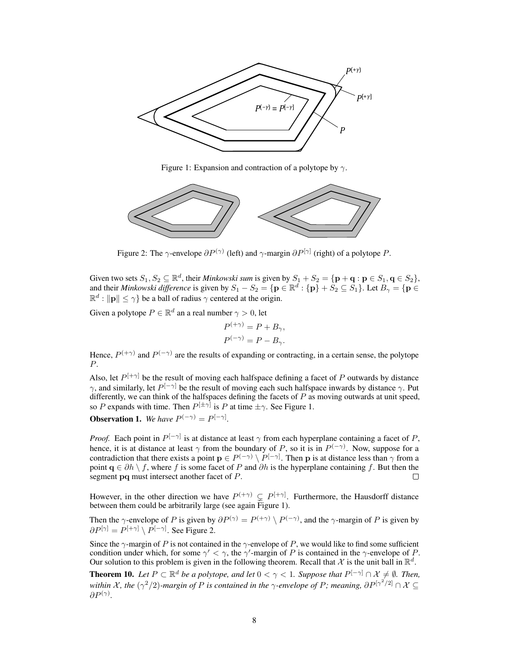

Figure 1: Expansion and contraction of a polytope by  $\gamma$ .



Figure 2: The  $\gamma$ -envelope  $\partial P^{(\gamma)}$  (left) and  $\gamma$ -margin  $\partial P^{[\gamma]}$  (right) of a polytope P.

Given two sets  $S_1, S_2 \subseteq \mathbb{R}^d$ , their *Minkowski sum* is given by  $S_1 + S_2 = \{ \mathbf{p} + \mathbf{q} : \mathbf{p} \in S_1, \mathbf{q} \in S_2 \}$ , and their *Minkowski difference* is given by  $S_1 - S_2 = \{ \mathbf{p} \in \mathbb{R}^d : \{ \mathbf{p} \} + S_2 \subseteq S_1 \}$ . Let  $B_\gamma = \{ \mathbf{p} \in S_1 \}$ .  $\mathbb{R}^d : ||\mathbf{p}|| \le \gamma$  be a ball of radius  $\gamma$  centered at the origin.

Given a polytope  $P \in \mathbb{R}^d$  an a real number  $\gamma > 0$ , let

$$
P^{(+\gamma)} = P + B_{\gamma},
$$
  

$$
P^{(-\gamma)} = P - B_{\gamma}.
$$

Hence,  $P^{(+\gamma)}$  and  $P^{(-\gamma)}$  are the results of expanding or contracting, in a certain sense, the polytope P.

Also, let  $P^{[+\gamma]}$  be the result of moving each halfspace defining a facet of P outwards by distance  $\gamma$ , and similarly, let  $P^{[-\gamma]}$  be the result of moving each such halfspace inwards by distance  $\gamma$ . Put differently, we can think of the halfspaces defining the facets of  $P$  as moving outwards at unit speed, so P expands with time. Then  $P^{[\pm \gamma]}$  is P at time  $\pm \gamma$ . See Figure 1.

**Observation 1.** We have  $P^{(-\gamma)} = P^{[-\gamma]}$ .

*Proof.* Each point in  $P^{[-\gamma]}$  is at distance at least  $\gamma$  from each hyperplane containing a facet of P, hence, it is at distance at least  $\gamma$  from the boundary of P, so it is in  $P^{(-\gamma)}$ . Now, suppose for a contradiction that there exists a point  $p \in P^{(-\gamma)} \setminus P^{[-\gamma]}$ . Then p is at distance less than  $\gamma$  from a point  $q \in \partial h \setminus f$ , where f is some facet of P and  $\partial h$  is the hyperplane containing f. But then the segment pq must intersect another facet of P. П

However, in the other direction we have  $P^{(+\gamma)} \subsetneq P^{[+\gamma]}$ . Furthermore, the Hausdorff distance between them could be arbitrarily large (see again Figure 1).

Then the  $\gamma$ -envelope of P is given by  $\partial P^{(\gamma)} = P^{(+\gamma)} \setminus P^{(-\gamma)}$ , and the  $\gamma$ -margin of P is given by  $\partial P^{[\gamma]} = P^{[+\gamma]} \setminus P^{[-\gamma]}$ . See Figure 2.

Since the  $\gamma$ -margin of P is not contained in the  $\gamma$ -envelope of P, we would like to find some sufficient condition under which, for some  $\gamma' < \gamma$ , the  $\gamma'$ -margin of P is contained in the  $\gamma$ -envelope of P. Our solution to this problem is given in the following theorem. Recall that X is the unit ball in  $\mathbb{R}^d$ .

**Theorem 10.** Let  $P \subset \mathbb{R}^d$  be a polytope, and let  $0 < \gamma < 1$ . Suppose that  $P^{[-\gamma]} \cap \mathcal{X} \neq \emptyset$ . Then, within X, the  $(\gamma^2/2)$ -margin of P is contained in the  $\gamma$ -envelope of P; meaning,  $\partial P^{[\gamma^2/2]} \cap X \subseteq$  $\partial P^{(\gamma)}.$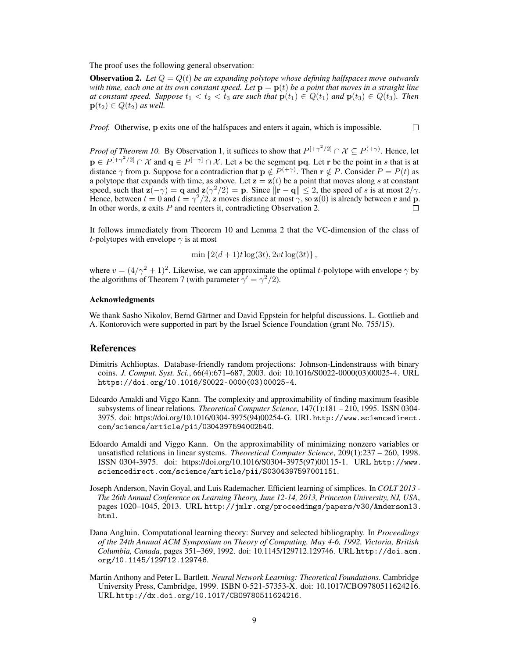The proof uses the following general observation:

**Observation 2.** Let  $Q = Q(t)$  be an expanding polytope whose defining halfspaces move outwards *with time, each one at its own constant speed. Let*  $\mathbf{p} = \mathbf{p}(t)$  *be a point that moves in a straight line at constant speed. Suppose*  $t_1 < t_2 < t_3$  *are such that*  $p(t_1) \in Q(t_1)$  *and*  $p(t_3) \in Q(t_3)$ *. Then*  $\mathbf{p}(t_2) \in Q(t_2)$  *as well.* 

 $\Box$ *Proof.* Otherwise, p exits one of the halfspaces and enters it again, which is impossible.

*Proof of Theorem 10.* By Observation 1, it suffices to show that  $P^{[+\gamma^2/2]} \cap \mathcal{X} \subseteq P^{(+\gamma)}$ . Hence, let  $p \in P^{[+\gamma^2/2]} \cap \mathcal{X}$  and  $q \in P^{[-\gamma]} \cap \mathcal{X}$ . Let s be the segment pq. Let r be the point in s that is at distance  $\gamma$  from **p**. Suppose for a contradiction that  $p \notin P^{(+\gamma)}$ . Then  $r \notin P$ . Consider  $P = P(t)$  as a polytope that expands with time, as above. Let  $z = z(t)$  be a point that moves along s at constant speed, such that  $\mathbf{z}(-\gamma) = \mathbf{q}$  and  $\mathbf{z}(\gamma^2/2) = \mathbf{p}$ . Since  $\|\mathbf{r} - \mathbf{q}\| \leq 2$ , the speed of s is at most  $2/\gamma$ . Hence, between  $t = 0$  and  $t = \gamma^2/2$ , z moves distance at most  $\gamma$ , so  $z(0)$  is already between r and p. In other words,  $\bf{z}$  exits  $\bf{P}$  and reenters it, contradicting Observation 2.  $\Box$ 

It follows immediately from Theorem 10 and Lemma 2 that the VC-dimension of the class of t-polytopes with envelope  $\gamma$  is at most

$$
\min \left\{ 2(d+1)t \log(3t), 2vt \log(3t) \right\},\
$$

where  $v = (4/\gamma^2 + 1)^2$ . Likewise, we can approximate the optimal t-polytope with envelope  $\gamma$  by the algorithms of Theorem 7 (with parameter  $\gamma' = \gamma^2/2$ ).

#### Acknowledgments

We thank Sasho Nikolov, Bernd Gärtner and David Eppstein for helpful discussions. L. Gottlieb and A. Kontorovich were supported in part by the Israel Science Foundation (grant No. 755/15).

#### References

- Dimitris Achlioptas. Database-friendly random projections: Johnson-Lindenstrauss with binary coins. *J. Comput. Syst. Sci.*, 66(4):671–687, 2003. doi: 10.1016/S0022-0000(03)00025-4. URL https://doi.org/10.1016/S0022-0000(03)00025-4.
- Edoardo Amaldi and Viggo Kann. The complexity and approximability of finding maximum feasible subsystems of linear relations. *Theoretical Computer Science*, 147(1):181 – 210, 1995. ISSN 0304- 3975. doi: https://doi.org/10.1016/0304-3975(94)00254-G. URL http://www.sciencedirect. com/science/article/pii/030439759400254G.
- Edoardo Amaldi and Viggo Kann. On the approximability of minimizing nonzero variables or unsatisfied relations in linear systems. *Theoretical Computer Science*, 209(1):237 – 260, 1998. ISSN 0304-3975. doi: https://doi.org/10.1016/S0304-3975(97)00115-1. URL http://www. sciencedirect.com/science/article/pii/S0304397597001151.
- Joseph Anderson, Navin Goyal, and Luis Rademacher. Efficient learning of simplices. In *COLT 2013 - The 26th Annual Conference on Learning Theory, June 12-14, 2013, Princeton University, NJ, USA*, pages 1020–1045, 2013. URL http://jmlr.org/proceedings/papers/v30/Anderson13. html.
- Dana Angluin. Computational learning theory: Survey and selected bibliography. In *Proceedings of the 24th Annual ACM Symposium on Theory of Computing, May 4-6, 1992, Victoria, British Columbia, Canada*, pages 351–369, 1992. doi: 10.1145/129712.129746. URL http://doi.acm. org/10.1145/129712.129746.
- Martin Anthony and Peter L. Bartlett. *Neural Network Learning: Theoretical Foundations*. Cambridge University Press, Cambridge, 1999. ISBN 0-521-57353-X. doi: 10.1017/CBO9780511624216. URL http://dx.doi.org/10.1017/CBO9780511624216.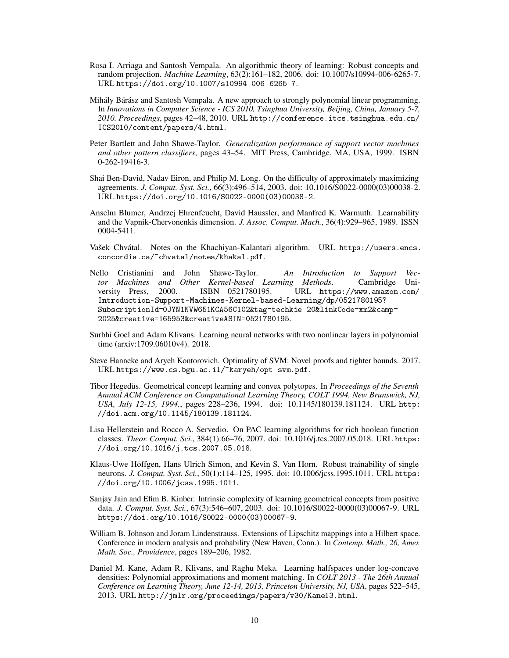- Rosa I. Arriaga and Santosh Vempala. An algorithmic theory of learning: Robust concepts and random projection. *Machine Learning*, 63(2):161–182, 2006. doi: 10.1007/s10994-006-6265-7. URL https://doi.org/10.1007/s10994-006-6265-7.
- Mihály Bárász and Santosh Vempala. A new approach to strongly polynomial linear programming. In *Innovations in Computer Science - ICS 2010, Tsinghua University, Beijing, China, January 5-7, 2010. Proceedings*, pages 42–48, 2010. URL http://conference.itcs.tsinghua.edu.cn/ ICS2010/content/papers/4.html.
- Peter Bartlett and John Shawe-Taylor. *Generalization performance of support vector machines and other pattern classifiers*, pages 43–54. MIT Press, Cambridge, MA, USA, 1999. ISBN 0-262-19416-3.
- Shai Ben-David, Nadav Eiron, and Philip M. Long. On the difficulty of approximately maximizing agreements. *J. Comput. Syst. Sci.*, 66(3):496–514, 2003. doi: 10.1016/S0022-0000(03)00038-2. URL https://doi.org/10.1016/S0022-0000(03)00038-2.
- Anselm Blumer, Andrzej Ehrenfeucht, David Haussler, and Manfred K. Warmuth. Learnability and the Vapnik-Chervonenkis dimension. *J. Assoc. Comput. Mach.*, 36(4):929–965, 1989. ISSN 0004-5411.
- Vašek Chvátal. Notes on the Khachiyan-Kalantari algorithm. URL https://users.encs. concordia.ca/~chvatal/notes/khakal.pdf.
- Nello Cristianini and John Shawe-Taylor. *An Introduction to Support Vector Machines and Other Kernel-based Learning Methods*. Cambridge University Press, 2000. ISBN 0521780195. URL https://www.amazon.com/ Introduction-Support-Machines-Kernel-based-Learning/dp/0521780195? SubscriptionId=0JYN1NVW651KCA56C102&tag=techkie-20&linkCode=xm2&camp= 2025&creative=165953&creativeASIN=0521780195.
- Surbhi Goel and Adam Klivans. Learning neural networks with two nonlinear layers in polynomial time (arxiv:1709.06010v4). 2018.
- Steve Hanneke and Aryeh Kontorovich. Optimality of SVM: Novel proofs and tighter bounds. 2017. URL https://www.cs.bgu.ac.il/~karyeh/opt-svm.pdf.
- Tibor Hegedüs. Geometrical concept learning and convex polytopes. In *Proceedings of the Seventh Annual ACM Conference on Computational Learning Theory, COLT 1994, New Brunswick, NJ, USA, July 12-15, 1994.*, pages 228–236, 1994. doi: 10.1145/180139.181124. URL http: //doi.acm.org/10.1145/180139.181124.
- Lisa Hellerstein and Rocco A. Servedio. On PAC learning algorithms for rich boolean function classes. *Theor. Comput. Sci.*, 384(1):66–76, 2007. doi: 10.1016/j.tcs.2007.05.018. URL https: //doi.org/10.1016/j.tcs.2007.05.018.
- Klaus-Uwe Höffgen, Hans Ulrich Simon, and Kevin S. Van Horn. Robust trainability of single neurons. *J. Comput. Syst. Sci.*, 50(1):114–125, 1995. doi: 10.1006/jcss.1995.1011. URL https: //doi.org/10.1006/jcss.1995.1011.
- Sanjay Jain and Efim B. Kinber. Intrinsic complexity of learning geometrical concepts from positive data. *J. Comput. Syst. Sci.*, 67(3):546–607, 2003. doi: 10.1016/S0022-0000(03)00067-9. URL https://doi.org/10.1016/S0022-0000(03)00067-9.
- William B. Johnson and Joram Lindenstrauss. Extensions of Lipschitz mappings into a Hilbert space. Conference in modern analysis and probability (New Haven, Conn.). In *Contemp. Math., 26, Amer. Math. Soc., Providence*, pages 189–206, 1982.
- Daniel M. Kane, Adam R. Klivans, and Raghu Meka. Learning halfspaces under log-concave densities: Polynomial approximations and moment matching. In *COLT 2013 - The 26th Annual Conference on Learning Theory, June 12-14, 2013, Princeton University, NJ, USA*, pages 522–545, 2013. URL http://jmlr.org/proceedings/papers/v30/Kane13.html.